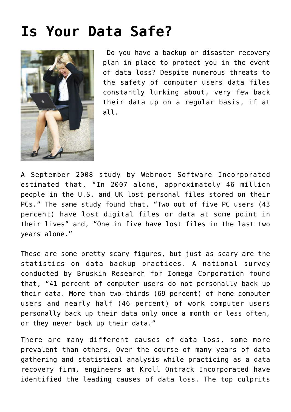## **[Is Your Data Safe?](https://www.tecs-onsite.com/is-your-data-safe/)**



 Do you have a backup or disaster recovery plan in place to protect you in the event of data loss? Despite numerous threats to the safety of computer users data files constantly lurking about, very few back their data up on a regular basis, if at all.

A September 2008 study by Webroot Software Incorporated estimated that, "In 2007 alone, approximately 46 million people in the U.S. and UK lost personal files stored on their PCs." The same study found that, "Two out of five PC users (43 percent) have lost digital files or data at some point in their lives" and, "One in five have lost files in the last two years alone."

These are some pretty scary figures, but just as scary are the statistics on data backup practices. A national survey conducted by Bruskin Research for Iomega Corporation found that, "41 percent of computer users do not personally back up their data. More than two-thirds (69 percent) of home computer users and nearly half (46 percent) of work computer users personally back up their data only once a month or less often, or they never back up their data."

There are many different causes of data loss, some more prevalent than others. Over the course of many years of data gathering and statistical analysis while practicing as a data recovery firm, engineers at Kroll Ontrack Incorporated have identified the leading causes of data loss. The top culprits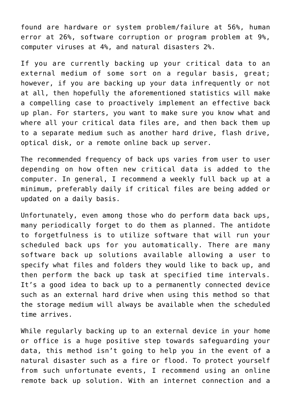found are hardware or system problem/failure at 56%, human error at 26%, software corruption or program problem at 9%, computer viruses at 4%, and natural disasters 2%.

If you are currently backing up your critical data to an external medium of some sort on a regular basis, great; however, if you are backing up your data infrequently or not at all, then hopefully the aforementioned statistics will make a compelling case to proactively implement an effective back up plan. For starters, you want to make sure you know what and where all your critical data files are, and then back them up to a separate medium such as another hard drive, flash drive, optical disk, or a remote online back up server.

The recommended frequency of back ups varies from user to user depending on how often new critical data is added to the computer. In general, I recommend a weekly full back up at a minimum, preferably daily if critical files are being added or updated on a daily basis.

Unfortunately, even among those who do perform data back ups, many periodically forget to do them as planned. The antidote to forgetfulness is to utilize software that will run your scheduled back ups for you automatically. There are many software back up solutions available allowing a user to specify what files and folders they would like to back up, and then perform the back up task at specified time intervals. It's a good idea to back up to a permanently connected device such as an external hard drive when using this method so that the storage medium will always be available when the scheduled time arrives.

While regularly backing up to an external device in your home or office is a huge positive step towards safeguarding your data, this method isn't going to help you in the event of a natural disaster such as a fire or flood. To protect yourself from such unfortunate events, I recommend using an online remote back up solution. With an internet connection and a